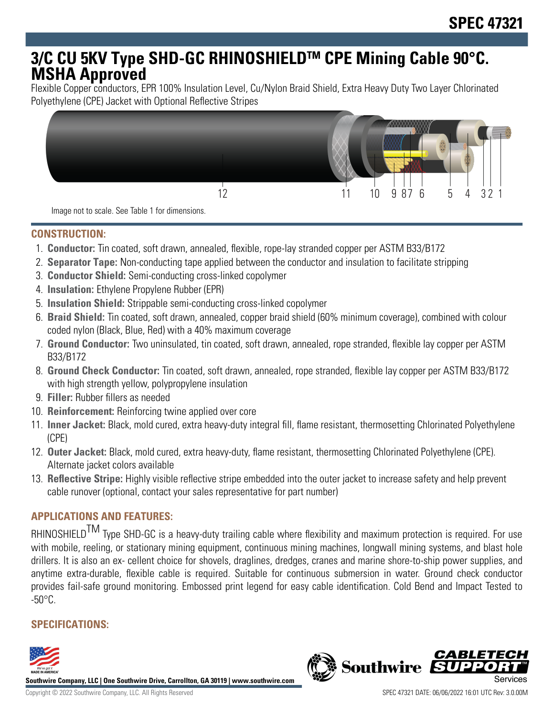# **3/C CU 5KV Type SHD-GC RHINOSHIELDTM CPE Mining Cable 90°C. MSHA Approved**

Flexible Copper conductors, EPR 100% Insulation Level, Cu/Nylon Braid Shield, Extra Heavy Duty Two Layer Chlorinated Polyethylene (CPE) Jacket with Optional Reflective Stripes



Image not to scale. See Table 1 for dimensions.

# **CONSTRUCTION:**

- 1. **Conductor:** Tin coated, soft drawn, annealed, flexible, rope-lay stranded copper per ASTM B33/B172
- 2. **Separator Tape:** Non-conducting tape applied between the conductor and insulation to facilitate stripping
- 3. **Conductor Shield:** Semi-conducting cross-linked copolymer
- 4. **Insulation:** Ethylene Propylene Rubber (EPR)
- 5. **Insulation Shield:** Strippable semi-conducting cross-linked copolymer
- 6. **Braid Shield:** Tin coated, soft drawn, annealed, copper braid shield (60% minimum coverage), combined with colour coded nylon (Black, Blue, Red) with a 40% maximum coverage
- 7. **Ground Conductor:** Two uninsulated, tin coated, soft drawn, annealed, rope stranded, flexible lay copper per ASTM B33/B172
- 8. **Ground Check Conductor:** Tin coated, soft drawn, annealed, rope stranded, flexible lay copper per ASTM B33/B172 with high strength yellow, polypropylene insulation
- 9. **Filler:** Rubber fillers as needed
- 10. **Reinforcement:** Reinforcing twine applied over core
- 11. **Inner Jacket:** Black, mold cured, extra heavy-duty integral fill, flame resistant, thermosetting Chlorinated Polyethylene (CPE)
- 12. **Outer Jacket:** Black, mold cured, extra heavy-duty, flame resistant, thermosetting Chlorinated Polyethylene (CPE). Alternate jacket colors available
- 13. **Reflective Stripe:** Highly visible reflective stripe embedded into the outer jacket to increase safety and help prevent cable runover (optional, contact your sales representative for part number)

# **APPLICATIONS AND FEATURES:**

RHINOSHIELD<sup>TM</sup> Type SHD-GC is a heavy-duty trailing cable where flexibility and maximum protection is required. For use with mobile, reeling, or stationary mining equipment, continuous mining machines, longwall mining systems, and blast hole drillers. It is also an ex- cellent choice for shovels, draglines, dredges, cranes and marine shore-to-ship power supplies, and anytime extra-durable, flexible cable is required. Suitable for continuous submersion in water. Ground check conductor provides fail-safe ground monitoring. Embossed print legend for easy cable identification. Cold Bend and Impact Tested to  $-50^{\circ}$ C.

# **SPECIFICATIONS:**



**Southwire Company, LLC | One Southwire Drive, Carrollton, GA 30119 | www.southwire.com**

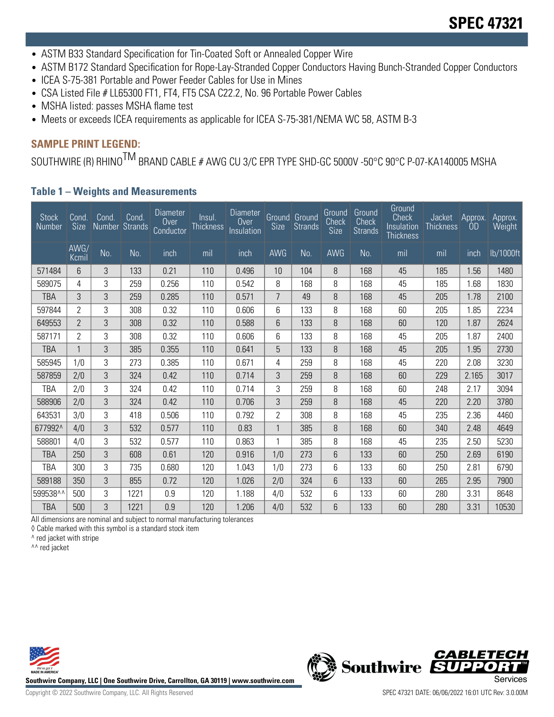- ASTM B33 Standard Specification for Tin-Coated Soft or Annealed Copper Wire
- ASTM B172 Standard Specification for Rope-Lay-Stranded Copper Conductors Having Bunch-Stranded Copper Conductors
- ICEA S-75-381 Portable and Power Feeder Cables for Use in Mines
- CSA Listed File # LL65300 FT1, FT4, FT5 CSA C22.2, No. 96 Portable Power Cables
- MSHA listed: passes MSHA flame test
- Meets or exceeds ICEA requirements as applicable for ICEA S-75-381/NEMA WC 58, ASTM B-3

# **SAMPLE PRINT LEGEND:**

SOUTHWIRE (R) RHINO<sup>TM</sup> BRAND CABLE # AWG CU 3/C EPR TYPE SHD-GC 5000V -50°C 90°C P-07-KA140005 MSHA

#### **Table 1 – Weights and Measurements**

| <b>Stock</b><br>Number | Cond.<br><b>Size</b> | Cond. | Cond.<br>Number Strands | <b>Diameter</b><br>0 <sub>ver</sub><br><b>Conductor</b> | Insul.<br><b>Thickness</b> | <b>Diameter</b><br>Over<br>Insulation | <b>Size</b>    | Ground Ground<br><b>Strands</b> | Ground<br>Check<br><b>Size</b> | Ground<br>Check<br><b>Strands</b> | Ground<br>Check<br>Insulation<br><b>Thickness</b> | Jacket<br><b>Thickness</b> | Approx.<br>-OD     | Approx.<br>Weight |
|------------------------|----------------------|-------|-------------------------|---------------------------------------------------------|----------------------------|---------------------------------------|----------------|---------------------------------|--------------------------------|-----------------------------------|---------------------------------------------------|----------------------------|--------------------|-------------------|
|                        | AWG/<br>Kcmil        | No.   | No.                     | inch                                                    | mil                        | inch                                  | AWG            | No.                             | AWG                            | No.                               | mil                                               | mil                        | $\frac{1}{2}$ inch | lb/1000ft         |
| 571484                 | 6                    | 3     | 133                     | 0.21                                                    | 110                        | 0.496                                 | 10             | 104                             | 8                              | 168                               | 45                                                | 185                        | 1.56               | 1480              |
| 589075                 | 4                    | 3     | 259                     | 0.256                                                   | 110                        | 0.542                                 | 8              | 168                             | 8                              | 168                               | 45                                                | 185                        | 1.68               | 1830              |
| TBA                    | 3                    | 3     | 259                     | 0.285                                                   | 110                        | 0.571                                 | 7              | 49                              | 8                              | 168                               | 45                                                | 205                        | 1.78               | 2100              |
| 597844                 | 2                    | 3     | 308                     | 0.32                                                    | 110                        | 0.606                                 | 6              | 133                             | 8                              | 168                               | 60                                                | 205                        | 1.85               | 2234              |
| 649553                 | 2                    | 3     | 308                     | 0.32                                                    | 110                        | 0.588                                 | 6              | 133                             | 8                              | 168                               | 60                                                | 120                        | 1.87               | 2624              |
| 587171                 | 2                    | 3     | 308                     | 0.32                                                    | 110                        | 0.606                                 | 6              | 133                             | 8                              | 168                               | 45                                                | 205                        | 1.87               | 2400              |
| TBA                    | 1                    | 3     | 385                     | 0.355                                                   | 110                        | 0.641                                 | 5              | 133                             | 8                              | 168                               | 45                                                | 205                        | 1.95               | 2730              |
| 585945                 | 1/0                  | 3     | 273                     | 0.385                                                   | 110                        | 0.671                                 | 4              | 259                             | 8                              | 168                               | 45                                                | 220                        | 2.08               | 3230              |
| 587859                 | 2/0                  | 3     | 324                     | 0.42                                                    | 110                        | 0.714                                 | 3              | 259                             | 8                              | 168                               | 60                                                | 229                        | 2.165              | 3017              |
| TBA                    | 2/0                  | 3     | 324                     | 0.42                                                    | 110                        | 0.714                                 | 3              | 259                             | 8                              | 168                               | 60                                                | 248                        | 2.17               | 3094              |
| 588906                 | 2/0                  | 3     | 324                     | 0.42                                                    | 110                        | 0.706                                 | 3              | 259                             | 8                              | 168                               | 45                                                | 220                        | 2.20               | 3780              |
| 643531                 | 3/0                  | 3     | 418                     | 0.506                                                   | 110                        | 0.792                                 | $\overline{2}$ | 308                             | 8                              | 168                               | 45                                                | 235                        | 2.36               | 4460              |
| 677992^                | 4/0                  | 3     | 532                     | 0.577                                                   | 110                        | 0.83                                  | $\mathbf 1$    | 385                             | 8                              | 168                               | 60                                                | 340                        | 2.48               | 4649              |
| 588801                 | 4/0                  | 3     | 532                     | 0.577                                                   | 110                        | 0.863                                 |                | 385                             | 8                              | 168                               | 45                                                | 235                        | 2.50               | 5230              |
| TBA                    | 250                  | 3     | 608                     | 0.61                                                    | 120                        | 0.916                                 | 1/0            | 273                             | 6                              | 133                               | 60                                                | 250                        | 2.69               | 6190              |
| TBA                    | 300                  | 3     | 735                     | 0.680                                                   | 120                        | 1.043                                 | 1/0            | 273                             | 6                              | 133                               | 60                                                | 250                        | 2.81               | 6790              |
| 589188                 | 350                  | 3     | 855                     | 0.72                                                    | 120                        | 1.026                                 | 2/0            | 324                             | 6                              | 133                               | 60                                                | 265                        | 2.95               | 7900              |
| 599538^^               | 500                  | 3     | 1221                    | 0.9                                                     | 120                        | 1.188                                 | 4/0            | 532                             | 6                              | 133                               | 60                                                | 280                        | 3.31               | 8648              |
| TBA                    | 500                  | 3     | 1221                    | 0.9                                                     | 120                        | 1.206                                 | 4/0            | 532                             | 6                              | 133                               | 60                                                | 280                        | 3.31               | 10530             |

All dimensions are nominal and subject to normal manufacturing tolerances

◊ Cable marked with this symbol is a standard stock item

^ red jacket with stripe

^^ red jacket



**Southwire Company, LLC | One Southwire Drive, Carrollton, GA 30119 | www.southwire.com**